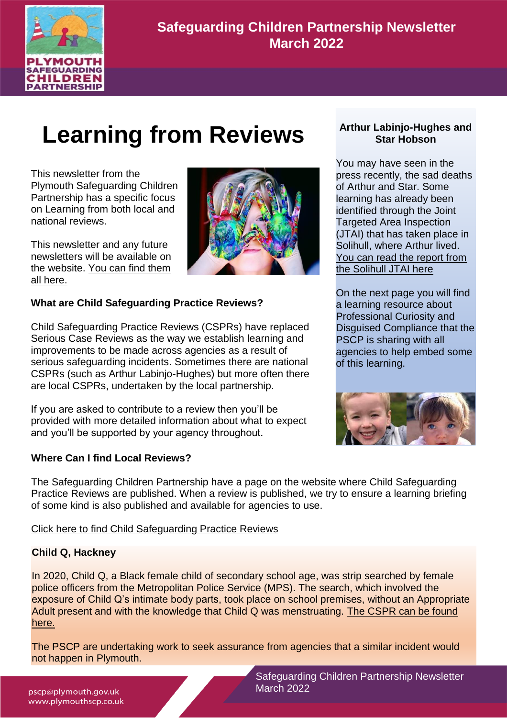

**Safeguarding Children Partnership Newsletter March 2022**

# **Learning from Reviews**

This newsletter from the Plymouth Safeguarding Children Partnership has a specific focus on Learning from both local and national reviews.

This newsletter and any future newsletters will be available on the website. [You can find them](http://www.plymouthscb.co.uk/newsletters/)  [all here.](http://www.plymouthscb.co.uk/newsletters/)



#### **What are Child Safeguarding Practice Reviews?**

Child Safeguarding Practice Reviews (CSPRs) have replaced Serious Case Reviews as the way we establish learning and improvements to be made across agencies as a result of serious safeguarding incidents. Sometimes there are national CSPRs (such as Arthur Labinjo-Hughes) but more often there are local CSPRs, undertaken by the local partnership.

If you are asked to contribute to a review then you'll be provided with more detailed information about what to expect and you'll be supported by your agency throughout.

#### **Where Can I find Local Reviews?**



You may have seen in the press recently, the sad deaths of Arthur and Star. Some learning has already been identified through the Joint Targeted Area Inspection (JTAI) that has taken place in Solihull, where Arthur lived. [You can read the report from](https://files.ofsted.gov.uk/v1/file/50177948)  [the Solihull JTAI here](https://files.ofsted.gov.uk/v1/file/50177948)

On the next page you will find a learning resource about Professional Curiosity and Disguised Compliance that the PSCP is sharing with all agencies to help embed some of this learning.



The Safeguarding Children Partnership have a page on the website where Child Safeguarding Practice Reviews are published. When a review is published, we try to ensure a learning briefing of some kind is also published and available for agencies to use.

#### [Click here to find Child Safeguarding Practice Reviews](http://www.plymouthscb.co.uk/csprs/)

#### **Child Q, Hackney**

In 2020, Child Q, a Black female child of secondary school age, was strip searched by female police officers from the Metropolitan Police Service (MPS). The search, which involved the exposure of Child Q's intimate body parts, took place on school premises, without an Appropriate Adult present and with the knowledge that Child Q was menstruating. [The CSPR can be found](https://chscp.org.uk/wp-content/uploads/2022/03/Child-Q-PUBLISHED-14-March-22.pdf)  [here.](https://chscp.org.uk/wp-content/uploads/2022/03/Child-Q-PUBLISHED-14-March-22.pdf)

The PSCP are undertaking work to seek assurance from agencies that a similar incident would not happen in Plymouth.

> Safeguarding Children Partnership Newsletter March 2022